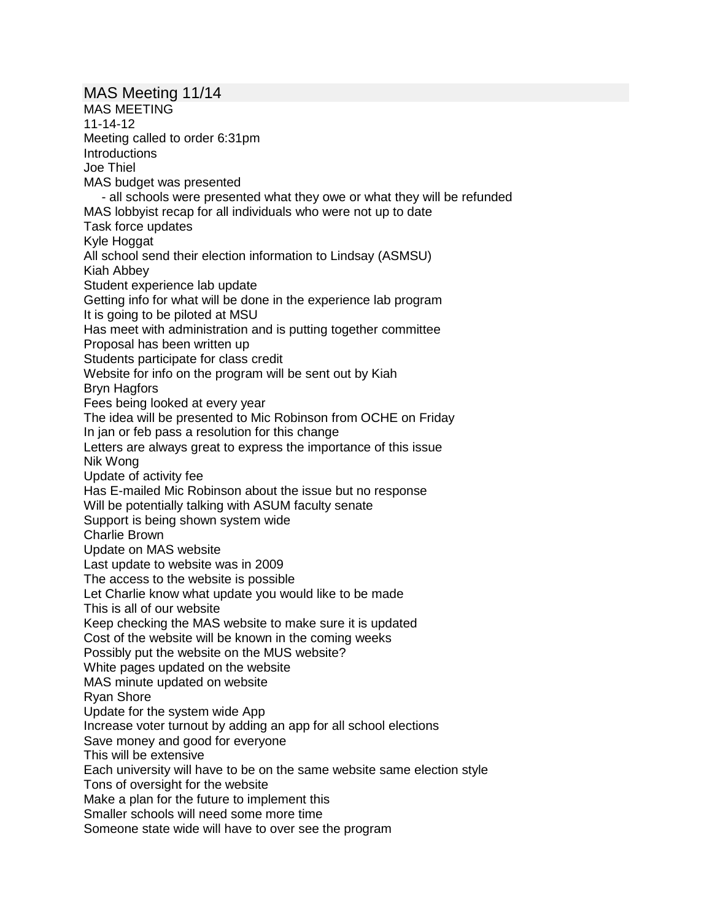MAS Meeting 11/14 MAS MEETING 11-14-12 Meeting called to order 6:31pm **Introductions** Joe Thiel MAS budget was presented - all schools were presented what they owe or what they will be refunded MAS lobbyist recap for all individuals who were not up to date Task force updates Kyle Hoggat All school send their election information to Lindsay (ASMSU) Kiah Abbey Student experience lab update Getting info for what will be done in the experience lab program It is going to be piloted at MSU Has meet with administration and is putting together committee Proposal has been written up Students participate for class credit Website for info on the program will be sent out by Kiah Bryn Hagfors Fees being looked at every year The idea will be presented to Mic Robinson from OCHE on Friday In jan or feb pass a resolution for this change Letters are always great to express the importance of this issue Nik Wong Update of activity fee Has E-mailed Mic Robinson about the issue but no response Will be potentially talking with ASUM faculty senate Support is being shown system wide Charlie Brown Update on MAS website Last update to website was in 2009 The access to the website is possible Let Charlie know what update you would like to be made This is all of our website Keep checking the MAS website to make sure it is updated Cost of the website will be known in the coming weeks Possibly put the website on the MUS website? White pages updated on the website MAS minute updated on website Ryan Shore Update for the system wide App Increase voter turnout by adding an app for all school elections Save money and good for everyone This will be extensive Each university will have to be on the same website same election style Tons of oversight for the website Make a plan for the future to implement this Smaller schools will need some more time Someone state wide will have to over see the program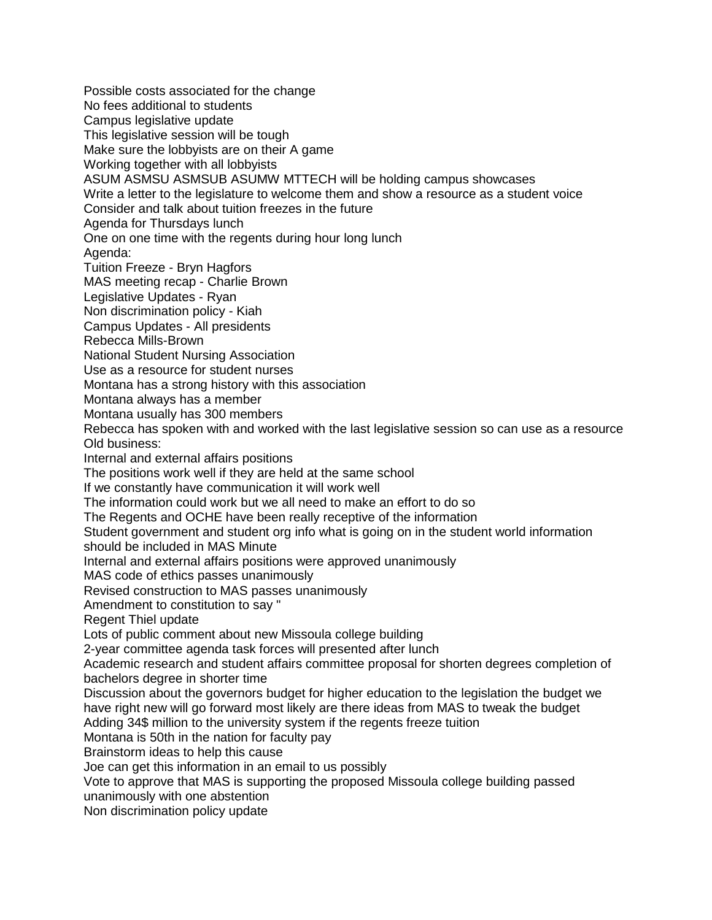Possible costs associated for the change No fees additional to students Campus legislative update This legislative session will be tough Make sure the lobbyists are on their A game Working together with all lobbyists ASUM ASMSU ASMSUB ASUMW MTTECH will be holding campus showcases Write a letter to the legislature to welcome them and show a resource as a student voice Consider and talk about tuition freezes in the future Agenda for Thursdays lunch One on one time with the regents during hour long lunch Agenda: Tuition Freeze - Bryn Hagfors MAS meeting recap - Charlie Brown Legislative Updates - Ryan Non discrimination policy - Kiah Campus Updates - All presidents Rebecca Mills-Brown National Student Nursing Association Use as a resource for student nurses Montana has a strong history with this association Montana always has a member Montana usually has 300 members Rebecca has spoken with and worked with the last legislative session so can use as a resource Old business: Internal and external affairs positions The positions work well if they are held at the same school If we constantly have communication it will work well The information could work but we all need to make an effort to do so The Regents and OCHE have been really receptive of the information Student government and student org info what is going on in the student world information should be included in MAS Minute Internal and external affairs positions were approved unanimously MAS code of ethics passes unanimously Revised construction to MAS passes unanimously Amendment to constitution to say " Regent Thiel update Lots of public comment about new Missoula college building 2-year committee agenda task forces will presented after lunch Academic research and student affairs committee proposal for shorten degrees completion of bachelors degree in shorter time Discussion about the governors budget for higher education to the legislation the budget we have right new will go forward most likely are there ideas from MAS to tweak the budget Adding 34\$ million to the university system if the regents freeze tuition Montana is 50th in the nation for faculty pay Brainstorm ideas to help this cause Joe can get this information in an email to us possibly Vote to approve that MAS is supporting the proposed Missoula college building passed unanimously with one abstention Non discrimination policy update